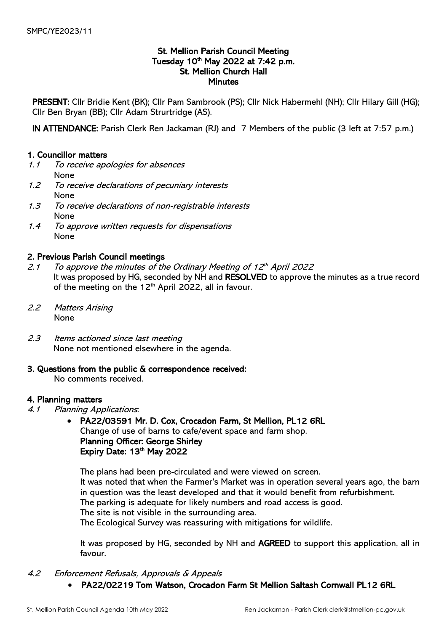## St. Mellion Parish Council Meeting Tuesday 10<sup>th</sup> May 2022 at 7:42 p.m. St. Mellion Church Hall **Minutes**

PRESENT: Cllr Bridie Kent (BK); Cllr Pam Sambrook (PS); Cllr Nick Habermehl (NH); Cllr Hilary Gill (HG); Cllr Ben Bryan (BB); Cllr Adam Strurtridge (AS).

IN ATTENDANCE: Parish Clerk Ren Jackaman (RJ) and 7 Members of the public (3 left at 7:57 p.m.)

## 1. Councillor matters

- 1.1 To receive apologies for absences None
- 1.2 To receive declarations of pecuniary interests None
- 1.3 To receive declarations of non-registrable interests None
- 1.4 To approve written requests for dispensations None

## 2. Previous Parish Council meetings

- 2.1 To approve the minutes of the Ordinary Meeting of 12th April 2022 It was proposed by HG, seconded by NH and RESOLVED to approve the minutes as a true record of the meeting on the  $12<sup>th</sup>$  April 2022, all in favour.
- 2.2 Matters Arising None
- 2.3 Items actioned since last meeting None not mentioned elsewhere in the agenda.
- 3. Questions from the public & correspondence received:

No comments received.

## 4. Planning matters

- 4.1 Planning Applications:
	- PA22/03591 Mr. D. Cox, Crocadon Farm, St Mellion, PL12 6RL Change of use of barns to cafe/event space and farm shop. Planning Officer: George Shirley Expiry Date:  $13<sup>th</sup>$  May 2022

The plans had been pre-circulated and were viewed on screen. It was noted that when the Farmer's Market was in operation several years ago, the barn in question was the least developed and that it would benefit from refurbishment. The parking is adequate for likely numbers and road access is good. The site is not visible in the surrounding area. The Ecological Survey was reassuring with mitigations for wildlife.

It was proposed by HG, seconded by NH and AGREED to support this application, all in favour.

- 4.2 Enforcement Refusals, Approvals & Appeals
	- PA22/02219 Tom Watson, Crocadon Farm St Mellion Saltash Cornwall PL12 6RL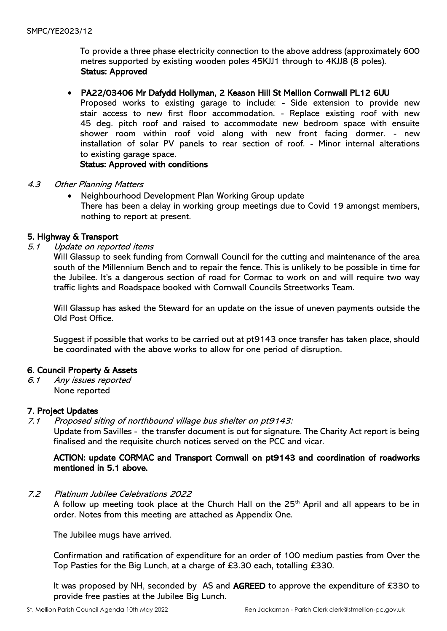To provide a three phase electricity connection to the above address (approximately 600 metres supported by existing wooden poles 45KJJ1 through to 4KJJ8 (8 poles). Status: Approved

### • PA22/03406 Mr Dafydd Hollyman, 2 Keason Hill St Mellion Cornwall PL12 6UU

Proposed works to existing garage to include: - Side extension to provide new stair access to new first floor accommodation. - Replace existing roof with new 45 deg. pitch roof and raised to accommodate new bedroom space with ensuite shower room within roof void along with new front facing dormer. - new installation of solar PV panels to rear section of roof. - Minor internal alterations to existing garage space.

Status: Approved with conditions

- 4.3 Other Planning Matters
	- Neighbourhood Development Plan Working Group update There has been a delay in working group meetings due to Covid 19 amongst members, nothing to report at present.

### 5. Highway & Transport

5.1 Update on reported items

Will Glassup to seek funding from Cornwall Council for the cutting and maintenance of the area south of the Millennium Bench and to repair the fence. This is unlikely to be possible in time for the Jubilee. It's a dangerous section of road for Cormac to work on and will require two way traffic lights and Roadspace booked with Cornwall Councils Streetworks Team.

Will Glassup has asked the Steward for an update on the issue of uneven payments outside the Old Post Office.

Suggest if possible that works to be carried out at pt9143 once transfer has taken place, should be coordinated with the above works to allow for one period of disruption.

## 6. Council Property & Assets

6.1 Any issues reported None reported

### 7. Project Updates

7.1 Proposed siting of northbound village bus shelter on pt9143:

Update from Savilles - the transfer document is out for signature. The Charity Act report is being finalised and the requisite church notices served on the PCC and vicar.

## ACTION: update CORMAC and Transport Cornwall on pt9143 and coordination of roadworks mentioned in 5.1 above.

7.2 Platinum Jubilee Celebrations 2022

A follow up meeting took place at the Church Hall on the 25<sup>th</sup> April and all appears to be in order. Notes from this meeting are attached as Appendix One.

The Jubilee mugs have arrived.

Confirmation and ratification of expenditure for an order of 100 medium pasties from Over the Top Pasties for the Big Lunch, at a charge of £3.30 each, totalling £330.

It was proposed by NH, seconded by AS and AGREED to approve the expenditure of £330 to provide free pasties at the Jubilee Big Lunch.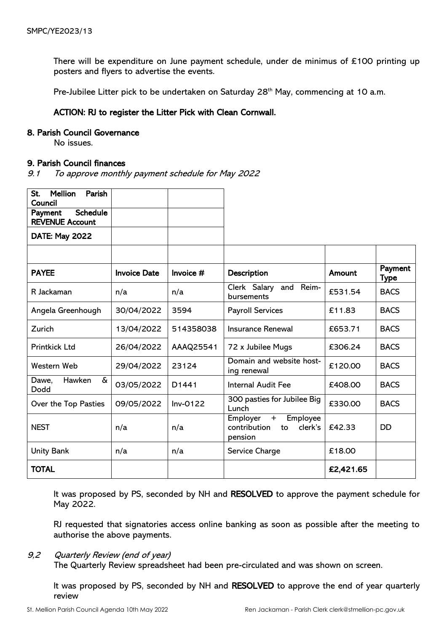There will be expenditure on June payment schedule, under de minimus of  $£100$  printing up posters and flyers to advertise the events.

Pre-Jubilee Litter pick to be undertaken on Saturday 28<sup>th</sup> May, commencing at 10 a.m.

## ACTION: RJ to register the Litter Pick with Clean Cornwall.

#### 8. Parish Council Governance

No issues.

### 9. Parish Council finances

9.1 To approve monthly payment schedule for May 2022

| St.<br><b>Mellion</b><br>Parish<br>Council           |                     |                   |                                                                         |               |                 |
|------------------------------------------------------|---------------------|-------------------|-------------------------------------------------------------------------|---------------|-----------------|
| <b>Schedule</b><br>Payment<br><b>REVENUE Account</b> |                     |                   |                                                                         |               |                 |
| <b>DATE: May 2022</b>                                |                     |                   |                                                                         |               |                 |
|                                                      |                     |                   |                                                                         |               |                 |
| <b>PAYEE</b>                                         | <b>Invoice Date</b> | Invoice $#$       | <b>Description</b>                                                      | <b>Amount</b> | Payment<br>Type |
| R Jackaman                                           | n/a                 | n/a               | and Reim-<br>Clerk Salary<br>bursements                                 | £531.54       | <b>BACS</b>     |
| Angela Greenhough                                    | 30/04/2022          | 3594              | <b>Payroll Services</b>                                                 | £11.83        | <b>BACS</b>     |
| Zurich                                               | 13/04/2022          | 514358038         | <b>Insurance Renewal</b>                                                | £653.71       | <b>BACS</b>     |
| <b>Printkick Ltd</b>                                 | 26/04/2022          | AAAQ25541         | 72 x Jubilee Mugs                                                       | £306.24       | <b>BACS</b>     |
| Western Web                                          | 29/04/2022          | 23124             | Domain and website host-<br>ing renewal                                 | £120.00       | <b>BACS</b>     |
| $\delta$<br>Hawken<br>Dawe,<br>Dodd                  | 03/05/2022          | D <sub>1441</sub> | <b>Internal Audit Fee</b>                                               | £408.00       | <b>BACS</b>     |
| Over the Top Pasties                                 | 09/05/2022          | $Inv-0122$        | 300 pasties for Jubilee Big<br>Lunch                                    | £330.00       | <b>BACS</b>     |
| <b>NEST</b>                                          | n/a                 | n/a               | Employee<br>Employer<br>$+$<br>contribution<br>clerk's<br>to<br>pension | £42.33        | <b>DD</b>       |
| <b>Unity Bank</b>                                    | n/a                 | n/a               | Service Charge                                                          | £18.00        |                 |
| <b>TOTAL</b>                                         |                     |                   |                                                                         | £2,421.65     |                 |

It was proposed by PS, seconded by NH and RESOLVED to approve the payment schedule for May 2022.

RJ requested that signatories access online banking as soon as possible after the meeting to authorise the above payments.

## 9,2 Quarterly Review (end of year)

The Quarterly Review spreadsheet had been pre-circulated and was shown on screen.

It was proposed by PS, seconded by NH and RESOLVED to approve the end of year quarterly review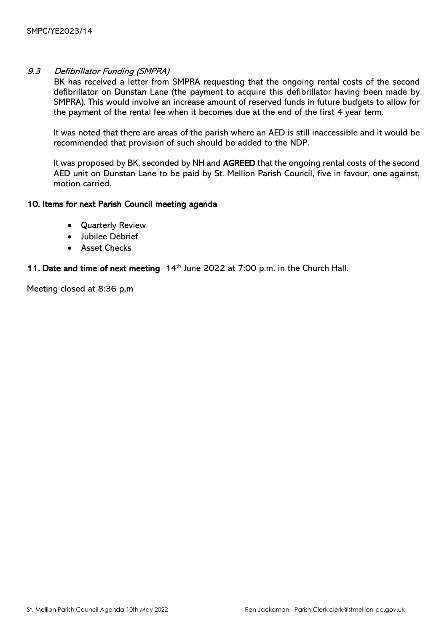### 9.3 Defibrillator Funding (SMPRA)

BK has received a letter from SMPRA requesting that the ongoing rental costs of the second defibrillator on Dunstan Lane (the payment to acquire this defibrillator having been made by SMPRA). This would involve an increase amount of reserved funds in future budgets to allow for the payment of the rental fee when it becomes due at the end of the first 4 year term.

It was noted that there are areas of the parish where an AED is still inaccessible and it would be recommended that provision of such should be added to the NDP.

It was proposed by BK, seconded by NH and AGREED that the ongoing rental costs of the second AED unit on Dunstan Lane to be paid by St. Mellion Parish Council, five in favour, one against, motion carried.

#### 10. Items for next Parish Council meeting agenda

- Quarterly Review
- Jubilee Debrief
- Asset Checks

### 11. Date and time of next meeting 14<sup>th</sup> June 2022 at 7:00 p.m. in the Church Hall.

Meeting closed at 8:36 p.m